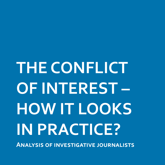# **THE CONFLICT OF INTEREST – HOW IT LOOKS IN PRACTICE?**

**Analysis of investigative journalists**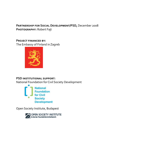## **Partnership for Social Development/PSD,** December 2008 **Photography:** Robert Fajt

### **Project financed by:**

The Embassy of Finland in Zagreb



## **PSD institutional support:**

National Foundation for Civil Society Development



Open Society Institute, Budapest

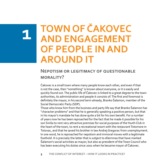## **TOWN OF ČAKOVEC AND ENGAGEMENT OF PEOPLE IN AND AROUND IT**

## **Nepotism or legitimacy of questionable morality?**

Čakovec is a small town where many people know each other, and even if that is not the case, then "something" is known about everyone, or it is easily and quickly found out. The public life of Čakovec is linked to a great degree to the town authorities, its administration and people it consists of. The first and foremost is definitely the mayor, in his second term already, Branko Šalamon, member of the Social Democratic Party (SDP).

Those who know him from the business and party life say that Branko Šalamon has "character problems" and that he is generally speaking a positive person, but that in his mayor's mandate he has done quite a bit for his own benefit. For a number of years now he has been reproached for the fact that he made it possible for his son Siniša to rent very attractive premises for social purposes of the Youth Club in the heart of the town, to rent a recreational resort with the restaurant Totomore in Totovac, and that he saved his brother in law Andrej Gregorac from unemployment. In one word, he is reproached for nepotism and immoral moves with a legitimate foothold. It is precisely the latter that is subject to dilemmas that have marked Šalamon's social activities as mayor, but also as president of the Town Council who has been executing his duties since 2001 when he became mayor of Čakovec.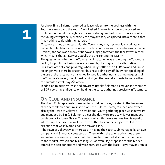Just how Siniša Šalamon entered as leaseholder into the business with the Totomore resort and the Youth Club, I asked Branko Šalamon and received an explanation that at first sight seems like a strange web of circumstances in which the young entrepreneur, precisely the mayor's son, was placed into a context that "has nothing to do with the real truth".

-Totomore is not connected with the Town in any way because it is a privately owned facility. I do not know under which circumstances the tender was carried out. Besides, the son was a crony of Radovan Flajšer, to whom the facility was rented, which means that Siniša was actually the one renting the facility.

The question on whether the Town as an institution was exploiting the Totomore facility for public gatherings was answered by the mayor in the affirmative. -Yes. Both officially and privately, when I duly settled the bill. Radovan and Siniša no longer work there because their business didn't pay off, but when speaking of the use of the restaurant as a venue for public gatherings and bringing guests of the Town of Čakovec, then I must remind you that we take guests to many other restaurants as well, says Šalamon.

In addition to business-wise and privately, Branko Šalamon as mayor and member of SDP could have influence on holding the party gatherings precisely in Totomore.

## **On Club and insurance**

The Youth Club represents premises for social purposes, located in the basement of the central town cultural institution - the Culture Center, founded and owned also by the Town of Čakovec. The traditional youth gathering place was four years ago managed by Siniša Šalamon as leaseholder. More precisely, it was managed by his crony Radovan Flajšer. The way in which this lease was realized is equally interesting. The discussion of the town authorities on the subject was led in the direction that was favorable for the mayor's son.

-The Town of Čakovec was interested in having the Youth Club managed by a town company and Stanorad contacted us. Then, within the town authorities there was a discussion on why this should be done by Stanorad, it should rather be left to the market. My son and his colleague Radovan Flajšer applied for the tender, offered the best conditions and were entrusted with the lease – says mayor Branko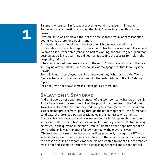Šalamon, whose son Siniša was at that time working precisely in Stanorad. To the journalist's question regarding that fact, Branko Šalamon offers a brief answer:

-My son Siniša was employed there at the time so there was a lot of talk about it, but he worked there for only six months.

Although this does not diminish the fact to which the question refers, a confirmation of suspected nepotism was the contracting of a lease with Flajšer and Šalamon's son. After only a year and a half of working, the cronies gave up on that business as well. It is clear they did not manage to find the success formula in the hospitality industry.

-They had invested great resources into the Youth Club to refurbish it and they are still paying off their debts. Even my house was mortgaged for that loan, says the mayor.

Siniša Šalamon is employed at an insurance company. When asked if the Town of Čakovec has any contractual relations with that establishment, Branko Šalamon replies:

-Yes, the Town does have some insurance policies there, too.

## **Salvation in Stanorad**

Andrej Gregorec was appointed manager of the town company Stanorad in 1998. At the time Branko Šalamon was filling the post of the president of the Čakovec Town Council and the fact that they had family ties through their wives who were sisters did not prevent from "going through the tender together" – the former as a candidate, the latter as a person presiding over the highest town authority. Stanorad is a company managing several residential buildings and is in fact the successor of the former SIZ ("Self-Managing Community of Interest") for housing activities. To the question directed to Branko Šolomon on the appointment of his own brother in law as manager of a town company, the mayor answers: -The town had to take control over the facilities previously managed by SIZ and in several places, even to employers, we offered for the organization of that business to be taken over in an economic manner. No one wanted to do that. On the market we did not find a solution better than establishing Stanorad and we announced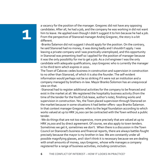a vacancy for the position of the manager. Gregorec did not have any opposing candidates. After all, he had a job, and the company he was working in did not want him to leave. He applied even though I didn't suggest it to him because he had a job. From the perspective of Stanorad manager Andrej Gregorec, the story is a bit different.

-Branko Šalamon did not suggest I should apply for the position. On the contrary, he said Stanorad had no money, it was doing badly and I shouldn't apply. I was leaving a private company and I was practically unemployed, and this opportunity in Stanorad was presenting itself so I applied for the position of manager because it was the only possibility for me to get a job. As a civil engineer I was the only candidate with adequate qualifications, says Gregorec who is currently the manager in his third term which expires in 2010.

The Town of Čakovec cedes business in construction and supervision in construction to no other than Stanorad, of which it is also the founder. The self-evident information would perhaps not be so striking if it were not an institution and a company managed by brothers-in-law. Mayor Branko Šolomon has an unequivocal view on that.

-Stanorad had to register additional activities for the company to be financed and exist in the market at all. We registered the hospitality business activity (from the time of the tender for the Youth Club lease, author's note), finishing works and supervision in construction. Yes, the Town placed supervision through Stanorad on the market because in some situations it had better offers- says Branko Šalamon. In that context manager Gregorec refers to the legal foundation according to which works valued at up to HRK 70,000 can be contracted with the Town without a public tender.

-We do things that are not too expensive, more precisely that are valued at up to HRK 70,000 and by direct agreement. Of course, we also apply to town tenders. Sometimes we get it, sometimes we don't. When there is a discussion in the Town Council on Stanorad's business and financial reports, there are always battles fought precisely because the mayor is my brother-in-law. We are constantly under all possible magnifying glasses, and I don't think it is necessary because we are dealing with small amounts of money, says Gregorec, whose wife manages a company registered for a range of business activities, including construction.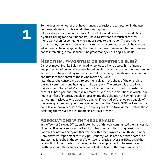To the question whether they have managed to resist the temptation in the gap between private and public work, Gregorec replies:

-No, we do not use that in this work. After all, it would be noticed immediately. If you are asking me about nepotism, I have to say that it is much harder for me to work than for someone who is not related to the mayor. Through work I contact many people and it even seems to me that some other people have more advantages in being engaged by the town structures than me or Stanorad. We are not so interesting, because there is no great money circulating around us.

## **Nepotism, favoritism or something else?**

Čakovec mayor Branko Šalamon readily replies to all who accuse him of nepotism and protection of personal interests based on his function as the number one person in the town. The prevailing impression is that he is trying to relativize the situation and turn it to the benefit of those who make decisions.

- Let those who censure me try to put themselves in the shoes of the one ruling the local community and having to make decisions. The pressure is great. Not in the way that I "have to do" something, but rather that I am forced to constantly control if I have personal interest in a matter. Even in those situations in which I am not in conflict of interest, people impose on me the obligation of having to control something. I ask you, who would you employ if you had before you two people of the same qualities, and you knew one but not the other? We in SDP do it so that we don't take our own people. Among the employees of the Town administration those declaring themselves as SDP members are least present.

## **Associations with the surname**

In the Town of Čakovec Office, on September 1 of this year commenced the traineeship of Vedran Biševac, a senior at the Faculty of Transport and Traffic Engineering in Zagreb. The news of hiring another trainee within the town structure, this time in the Administrative Department of Municipal Economy, would not have raised particular interest had it not been the son the Town Council president Veselin Biševac. Did the satisfaction of the criteria from the tender for the employment of trainees have anything to do with the family name, we asked the head of the family. We added the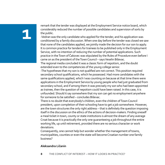remark that the tender was displayed at the Employment Service notice board, which considerably reduced the number of possible candidates and supervision of sorts by the public.

-Vedran was the only candidate who applied for the tender, and his application was conditioned by a family discussion. When one day before the tender was closed we saw that none of the candidates applied, we jointly made the decision for our son to apply. It is common practice for tenders for trainees to be published only in the Employment Service, with no intention of reducing the number of potential applications. Such practice in the Town of Čakovec was stipulated by the Rules of Procedure even before I came on as the president of the Town Council – says Veselin Biševac.

The regional media concluded it was a classic form of nepotism, and the doubt extended even to the competencies of the young college senior.

-The hypotheses that my son is not qualified are not correct. This position required secondary school qualifications, which he possessed. Had more candidates with the same qualifications applied, which I was counting on because at that time there were applications in the Employment Service by young people who had just graduated from secondary school, and if among them it was precisely my son who had been appointed as trainee, then the question of nepotism could have been raised. In this case, it is unfounded. Should it say somewhere that my son can get no employment anywhere for someone to be satisfied – concludes Biševac.

There is no doubt that everybody's children, even the children of Town Council president, upon completion of their schooling have to get a job somewhere. However, are the town structures the only right address – that is definitely the question imposing itself in the discussion on the ethics of the actions of decision-makers. Finding oneself a meal ticket in town, county or state institutions is almost the dream of any average Croat because it is practically the only one guaranteeing a job throughout the entire working life, up until retirement, provided there are no serious character or work deviations.

Consequently, one cannot help but wonder whether the management of towns, municipalities, counties or even the state will become Croatian number one family business?

### **Aleksandra Ličanin**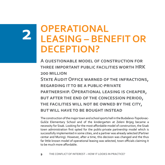## **OPERATIONAL LEASING – BENEFIT OR DECEPTION?**

**A questionable model of construction for three important public facilities worth HRK 200 million State Audit Office warned of the infractions, regarding it to be a public-private partnership. Operational leasing is cheaper, but after the end of the concession period, the facilities will not be owned by the city, but will have to be bought instead** 

The construction of the major town and school sports hall in the Budaševo-Topolovac-Gušće Elementary School and of the kindergarten at Zeleni Brijeg became a necessity for Sisak. Looking for the most affordable model of construction, the Sisak town administration first opted for the public-private partnership model which is successfully implemented in some cities, and a partner was already selected (Partner centar and Muring). However, after a time, this decision was changed and the thus far little known model of operational leasing was selected, town officials claiming it to be much more affordable.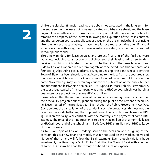Unlike the classical financial leasing, the debt is not calculated in the long-term for the entire sum of the lease but is instead treated as off-balance sheet, and the lease payment is a monthly expense. In addition, the important difference is that the facility remains the property of the investor following the expiration of the lease contract, and the lessee can buy it at a public tender based on the pre-emptive buying principle after the new estimate of value, in case there is not a more lucrative offer. Financial experts say that in this way, loan expenses can be concealed, i.e. a loan can be granted without public tender.

Three new tenders for lease services and project financing of the facilities were launched, including construction of buildings and their leasing. All three tenders received two bids, which later turned out to be the bids of the same legal entities. Bids by Epsilon Građenje d.o.o. from Zagreb were selected, and this company was founded by Alpe Adria poslovodstvo, i.e. Hypo Leasing, the bank whose client the Town of Sisak has been since last year. According to the data from the court register, the company which is now the investor was founded by a deed of incorporation dated November 9, 2007, only ten days prior to the publication of the public tender announcement. Clearly, this is a so-called SPV – Special Purpose Vehicle. Furthermore, the subscribed capital of the company was a mere HRK 20,000, which was hardly a guarantee for a project worth some HRK 200 million.

It was noticed that the sums of the most favorable bids were significantly higher that the previously projected funds, planned during the public procurement procedure, i.e. December 28 of the previous year. Even though the Public Procurement Act (Art. 64) stipulates the cancellation of the tender in such circumstances, this was not the case. For the sports hall alone, the proposed price of construction and lease was HRK 156 million over a 15-year contract, with the monthly lease payment of some HRK 880,000. The price of the kindergarten is to be HRK 21 million with a monthly lease of HRK 118,000, and of the school hall in Budaševo HRK 19 million with HRK 106,000 of monthly lease.

As Tomislav Topić of Epsilon Građenje said on the occasion of the signing of the contract, this is a new financing model, thus far not used on the market. He voiced his belief that others will follow the Sisak example. Even though this is a huge investment, the Sisak mayor Dinko Pintarić said that the Town of Sisak with a budget of some HRK 270 million had the strength to handle such an expense.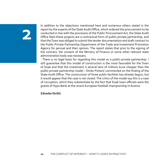In addition to the objections mentioned here and numerous others stated in the report by the experts of the State Audit Office, which ordered the procurement to be conducted in line with the provisions of the Public Procurement Act, the State Audit Office feels these projects are a contractual form of public-private partnership, and that the Town was obliged to submit the tender documentation and draft contract to the Public-Private Partnership Department of the Trade and Investment Promotion Agency for perusal and their opinion. The report states that prior to the signing of the contract, the consent of the Ministry of Finance or some other relevant state administration body was necessary.

- There is no legal basis for regarding this model as a public-private partnership. I still guarantee that this model of construction is the most favorable for the Town of Sisak and that the investment is several tens of millions kuna cheaper than the public-private partnership model – Dinko Pintarić commented on the finding of the State Audit Office. The construction of three public facilities has already begun, but it would appear that the case is not closed. The critics of the model say this is a case of corruption, which they substantiate by the fact that Sisak town officials were the guests of Hypo Bank at the recent European football championship in Austria.

**Zdravko Strižić**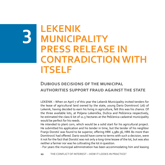## **LEKENIK**  R **MUNICIPALITY PRESS RELEASE IN CONTRADICTION WITH ITSELF**

## **Dubious decisions of the municipal authorities support fraud against the state**

LEKENIK – When on April 7 of this year the Lekenik Municipality invited tenders for the lease of agricultural land owned by the state, young Dario Domitrović (26) of Lekenik, having decided to earn his living in agriculture, felt this was his chance. Of the three available lots, at Poljana Lekenička, Dužica and Pešćenica respectively, he estimated the class 6 lot of 11.5 hectares at the Pešćenica cadastral municipality would be perfect for his needs.

He intended to plant corn, which would be a solid start for his agricultural project. He submitted his application and his tender in time, but the tender of his neighbor Franjo Dorotić was found to be superior, offering HRK 2,980.36, HRK 80 more than Domitrović had offered. Dario would have come to terms with such a decision, were it not for the fact that Dorotić was not only a long-time lessee of the lot, but was also neither a farmer nor was he cultivating the lot in question.

- For years the municipal administration has been accommodating him and leasing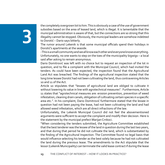the completely overgrown lot to him. This is obviously a case of the use of government subsidies based on the area of leased land, which is illegal. It is lamentable that the municipal administration is aware of that, but the connections are so strong that this illegality cannot be stopped. Obviously, the municipal leaders are somehow indebted to Dorotić – Dario says bitterly.

The rumor around Lekenik is that some municipal officials spend their holidays in Dorotić's apartments at the seaside.

- This is a small community and we all know each other and everyone knows everything. Unfortunately, no one wants to step on the toes of the municipality bigwigs – a local said after asking to remain anonymous.

Dario Domitrović was left with no choice but to request an inspection of the lot in question, and to file a complaint with the Municipal Council, which had invited the tenders. As could have been expected, the inspection found that the Agricultural Land Act was breached. The findings of the agricultural inspection stated that the long time lessee Dorotić had not been cultivating the land, thus contravening Articles 10 and 11 of the Act.

Article 10 stipulates that "lessees of agricultural land are obliged to cultivate it without lowering its value in line with agrotechnical measures". Furthermore, Article 11 states that "agrotechnical measures are: erosion prevention, prevention of weed infestation, cleaning drain canals, obligation of cultivating certain species in a specific area etc.". In his complaint, Dario Domitrović furthermore stated that the lessee in question had not been paying the lease, had not been cultivating the land and had allowed weed infestation, which are all direct infractions of the law.

Unfortunately, the Lekenik Municipal Council did not feel the abovementioned arguments were sufficient to accept the complaint and modify their decision. Here is the statement by the municipal prefect Marijan Crnkoci.

"When considering the tenders submitted, the Agriculture Committee established that the best tenderer was the lessee of the land in question during the last two years, and that during that period he did not cultivate the land, which is substantiated by the finding of the Agricultural Inspection. The Committee found no legal basis that would influence selecting his tender as the best solely because he had not cultivated the land during the previous lease. The amendments to the Act stipulate that the lessor (Lekenik Municipality) can terminate the valid lease contract if during the lease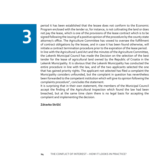# B

period it has been established that the lessee does not conform to the Economic Program enclosed with the tender or, for instance, is not cultivating the land or does not pay the lease, which is one of the provisions of the lease contract which is to be signed following the issuing of a positive opinion of the procedure by the county state attorney's office. The Agriculture Committee has vowed to oversee the fulfillment of contract obligations by the lessee, and in case it has been found otherwise, will initiate a contract termination procedure prior to the expiration of the lease period. In line with the Agricultural Land Act and the minutes of the Agriculture Committee, the Lekenik Municipal Council has made the Decision on the selection of the best tender for the lease of agricultural land owned by the Republic of Croatia in the Lekenik Municipality. It is obvious that the Lekenik Municipality has conducted the entire procedure in line with the law, and of the two applicants selected the one that has gained priority rights. The applicant not selected has filed a complaint the Municipality considers unfounded, but the complaint in question has nevertheless been forwarded to the competent institution which will give its opinion following the complaints procedure", concludes the statement.

It is surprising that in their own statement, the members of the Municipal Council accept the finding of the Agricultural Inspection which found the law had been breached, but at the same time claim there is no legal basis for accepting the complaint and implementing the decision.

**Zdravko Strižić**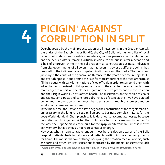## **PICIGIN<sup>1</sup> AGAINST CORRUPTION IN SPLIT**

Overshadowed by the main preoccupation of all newsrooms in the Croatian capital, the antics of the Zagreb mayor Bandić, the City of Split, with its long list of local bigwigs, officials of questionable competence, various parasites on the city budget and the perks it offers, remains virtually invisible to the public. Over a decade and a half of unproven crime in the Split residential construction business, indivisible from city governments of all colors that had been in power at different points, has been left to the indifference of competent institutions and the media. The inefficient judiciary is the cause of the general indifference to the years of crime in Hajduk FC, and everything else in and around the FC is far more important to the media who must fill their pages with daily lamentations of club officials in order to surround them with advertisements. Instead of things more useful to the city life, the local media were more eager to report on the clashes regarding the Riva promenade reconstruction and the Picigin World Cup at Bačvice beach. The discussions on the choice of chairs and tables, lamp-posts and concrete slabs instead of stone at the Riva have quieted down, and the question of how much has been spent through this project and on what exactly remains unanswered.

In the meantime, the City and the state began the construction of the megalomaniac, unnecessary in the long run, €140 million sports-business complex in Lora, for the 2009 World Handball Championship. It is destined to accumulate losses, because only cities much bigger and richer than Split can afford such a mammoth center. By the way, the Gripe Sports Center, built for the 1979 Mediterranean Games is mostly eerily empty, but is obviously not representative enough.

However, what is representative enough must be the decrepit wards of the Split hospital, patients' beds in hallways and patients waiting in the emergency rooms for hours. The media shadow of things occupying the Croatian media universe, such as sports and other "jet-set" sensations fabricated by the media, obscures the lack

<sup>&</sup>lt;sup>1</sup> A ball game very popular in Split, typically played in shallow water. (*translator's note*)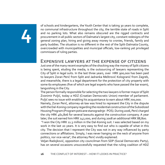of schools and kindergartens, the Youth Center that is taking 30 years to complete, no communal infrastructure throughout the city, the terrible state of roads in Split and no parking lots. What also remains obscured are the rigged contracts and procurement in all public sectors of Dalmatia's largest city, constant redesigns of the general zoning plan, hiring and giving away money to cronies, friends, family and party buddies. The situation is no different in the rest of the Split-Dalmatia County, overcrowded with municipalities and municipal officials, low-ranking yet privileged commissars of ruling parties.

## **Expensive lawyers at the expense of citizens**

Just one of the many recent examples of the shocking way the money of Split citizens is being spent, eluding the media, is the outsourcing of lawyers representing the City of Split in legal suits. In the last three years, over HRK 900,000 has been paid to lawyers Zoran Perić from Split and Jadranka Meštrović Kologranić from Zagreb, and meanwhile, there is a legal department for the protection of city property with some 60 employees (five of which are legal experts who have passed the bar exam), languishing in the City.

The person formally responsible for selecting the two lawyers is former mayor of Split Zvonimir Puljić, today a HDZ (Croatian Democratic Union) member of parliament. Puljić sees no issue with enabling his acquaintance to earn about HRK 700,000.

Namely, Zoran Perić, attorney-at-law was hired to represent the City in the dispute with the Dal-Koning company regarding the residential construction of the Subsidized Housing Program (Program poticane stanogradnje - POS). During 2006, Perić charged the city HRK 461,806 for several lawsuits against the construction company. A year later, the suit earned him HRK 142,000, and during 2008 an additional HRK 88,800.

 "I won the City HRK 11.3 million in the Dal-Koning suit. I was selected based on my work in the last 20 years. It is very easy to find out who is capable of what in this city. The decision that I represent the City was not in any way influenced by party connections or affiliations. Simply, I was never hanging on the neck of anyone from politics, nor vice-versa", the attorney Perić vividly explained.

Veljan Radojković, opposition city councilman from SDP (Social Democratic Party), has on several occasions unsuccessfully requested that the ruling coalition of HDZ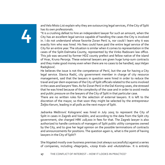and Velo Misto List explain why they are outsourcing legal services, if the City of Split has its own professionals.

"It is a crushing defeat to hire an independent lawyer for such an amount, when the City has an excellent legal service capable of handling the cases the City is involved in. I do not understand whose favorite Zoran Perić is, nor could I learn why it was exactly him who was hired. His fees could have paid the entire legal service of the City for an entire year. The situation is similar when it comes to representation in the cases of the Split-Dalmatia County, represented by the Vinko Radovani law office. This job was secured by former HDZ county prefect and fellow native of the island of Hvar, Kruno Peronja. These external lawyers are given huge lump-sum contracts and they make good money even when there are no cases to be handled, says Veljan Radojković.

He believes the issue is not the competence of Perić, but the use for having a City legal service. Slavica Radić, city government member in charge of city resource management, said that the lawyers in question were hired in order to reduce the travel and per diem expenses of the City of Split officials related to the sums involved in the cases and lawyers' fees. As for Zoran Perić in the Dal-Koning cases, she stressed that he was hired because of the complexity of the case and in order to avoid media and public pressure on the lawyers of the City of Split in that particular case.

There are no written rules for the selection of external lawyers. It is left to the discretion of the mayor, so that soon they might be selected by the entrepreneur Željko Kerum, leading in all polls as the next mayor of Split.

Jadranka Meštrović Kologranić was hired in July 2005 to represent the City of Split in cases in Zagreb and Varaždin, and according to the data from the Split city government, she charged HRK 218,000 in fees for that. The Zagreb lawyer is also authorized to handle contracts of managers of Split public utility companies owned by the City, and to give her legal opinion on the possible terminations of contracts and announcements for positions. The question again is, what is the point of having lawyers in the City of Split?!

She litigated mostly over business premises (not always successfully) against a series of companies, including «Naprijed», «Josip Kraš» and «Autotehna». It is entirely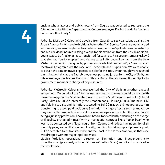unclear why a lawyer and public notary from Zagreb was selected to represent the City in the suit with the Department of Culture employee Dalibor Lovrić for "serious breach of official duty ".

Jadranka Meštrović Kologranić traveled from Zagreb to seek sanctions against the Expert Advisor for film and exhibitions before the Civil Service Court. He was charged with sending an insulting letter to a fashion designer from Split who was persistently and outside deadlines requesting a venue for his exhibition from the City. In addition, Lovrić was to be fired or at least transferred for saying to his superior Tamara Visković that she had "perky nipples", and daring to call city councilwoman from the Velo Misto List, a fashion designer by profession, Neda Makjanić-Kunić, a "seamstress". Meštrović Kologranić lost the case, and Lovrić retained his position. We were unable to obtain the data on travel expenses to Split for this trial, even though we requested them. Incidentally, as the Zagreb lawyer was pursuing justice for the City of Split, her office employed as trainee the son of Slavica Radić, the abovementioned Split city government member in charge of city resources.

Jadranka Meštrović Kologranić represented the City of Split in another unusual assignment. On behalf of the City she was terminating the managerial contract with former manager of the Split Sanitation and one-time Split mayor from the LS (Liberal Party) Miroslav Buličić, presently the Croatian consul in Banja Luka. The new HDZ and Velo Misto List administration, succeeding Buličić in 2005, did not appreciate him transferring to a well-paid position as Sanitation manager after his term as mayor, so they wanted to remove him with as little severance pay as possible. Of course, Buličić being a jurist by profession, known from before for excellently balancing on the verge of illegality, protected himself with a managerial contract like a "polar bear" who was to be contested by a "legal eagle" from Zagreb and reduce the indemnity of 18 monthly pays, some HRK 250,000. Luckily, pending his taking up a diplomatic post, Buličić accepted to be transferred to another post in the same company, so that case was dropped without major legal expenses.

Ljubica Vrdoljak, operational director of Sanitation and independent city councilwoman (previously of Hrvatski blok – Croatian Block) was directly involved in the whole case.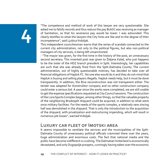"The competence and method of work of this lawyer are very questionable. She asked me to falsify records and thus reduce the pay Buličić was receiving as manager of Sanitation, so that his severance pay would be lower. I was astounded. This clearly testifies to what the lawyers the City hires are like and to the degree of their incompetence", said Ljubica Vrdoljak.

This independent councilwoman warns that the series of scandals connected to the current city administration, not only to the political figures, but also non-political managers of city services, is being left unsanctioned.

- "The mayor was given, for the first time in the history of the post, an unnecessary second secretary. This invented post was given to Željana Kalaš, who just happens to be the sister of the HDZ branch president in Split. Interestingly, her capabilities are such that she was already fired from the Split-Dalmatia County. The current administration, out of highly questionable motives, has decided to take over all financial obligations of Hajduk FC. No one else would do it and they do not mind that Hajduk is buying and selling players illegally. Hajduk needs help, but it must be done transparently. In addition, the Riva reconstruction was not transparent either. The tender was adapted for Konstruktor company and no other construction company could enter a serious bid. A year since the works were completed, we are still unable to get the expense specifications requested at City Council sessions. The construction of the Lora Sports Complex began, among other things, so that the valuable property of the neighboring Brodosplit shipyard could be acquired, in addition to what were once military facilities. For the needs of the sports complex, a relatively new zincing hall was demolished in the shipyard. That is only the introduction to the acquisition of the shipyard, with privatization and restructuring impending, which will result in numerous job losses", warned Vrdoljak.

## **Luxury car fleet of Imotski area**

It seems impossible to ventilate the services and the municipalities of the Split-Dalmatia County of unnecessary political officials crammed there over the years, huge administration and enormous costs. The fact that national media and the public have become indifferent is crushing. The Dalmatian hinterland is economically devastated, and only Dugopolje prospers, cunningly having taken over the economic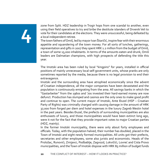zone from Split. HDZ leadership in Trogir hops from one scandal to another, even using their field operatives to try and bribe the destitute islanders of Drvenik Veli to vote for their candidates at the elections. They were unsuccessful, being defeated by a local independent retiree.

The town fathers of Omiš, led by mayor Ivan Škaričić, inspire fear with their enormous appetite and squandering of the town money. For all sorts of lunches, gatherings, representation and gifts in 2007 they spent HRK 1.2 million from the budget of Omiš, a town of some 15,000 inhabitants. In terms of the amounts eaten and drunk, Omiš leaders are Dalmatian champions, with high prospects of defending the title this year.

The Imotski area has been ruled by local "kingpins" for years, installed in official positions of mainly unnecessary local self-government units, whose pranks are only sometimes reported by the media, because there is no legal provision to end their extravagance.

Imotski and the surrounding area have atrophied economically since the advent of Croatian independence, all the major companies have been devastated and the population is continuously emigrating from the area. All savings banks in which the "Gastarbeiter" from the 1960s and '70s invested their hard-earned money are now defunct. Production has slumped and casinos are the only ones to make good profit and continue to open. The current mayor of Imotski, Ante Đuzel (HSP – Croatian Party of Rights) was criminally charged with causing damage in the amount of HRK 37,000 from forged per diem and hotel expenses in the luxury Zagreb Westin hotel in the past years. Besides Đuzel, the prefects of surrounding municipalities are also enthusiasts of luxury, and those municipalities would have been extinct long ago, were it not for the fact that they provide important votes to major Croatian parties (HDZ, mainly).

In the former Imotski municipality, there were only about forty employees and officials. Today, with the population halved, their number has doubled, placed in the Town of Imotski and eight newly formed municipalities. All units got their prefects, secretaries and other employees, some also jurists and economists. Heads of the Proložac, Runovići, Zmijavci, Podbablje, Zagvozd, Lokvičići, Lovreć and Cista Provo municipalities, and the Town of Imotski dispose with HRK 85 million of budget funds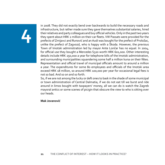in 2008. They did not exactly bend over backwards to build the necessary roads and infrastructure, but rather made sure they gave themselves substantial salaries, hired their relatives and party colleagues and buy official vehicles. Only in the past two years they spent about HRK 2 million on their car fleets. VW Passats were provided for the prefects of Zmijavci and Runović and an Audi was bought for the prefect of Proložac, unlike the prefect of Zagvozd, who is happy with a Škoda. However, the previous Town of Imotski administration led by mayor Ante Lončar has no equal. In 2004, for official use they bought a Mercedes S320 worth HRK 601,000. Other interesting details include HRK 250,000 a year for telephone bills of the Imotski administration, and surrounding municipalities squandering some half a million kuna on their fêtes. Representation and official travel of municipal officials amount to around a million a year. The expenditures for some 80 employees and officials of the Imotski area exceed HRK 18 million, so around HRK 100,000 per year for occasional legal fees is not so bad. And so on and so forth.

So, if we are not among the lucky or deft ones to bask in the shade of some municipal or town administration of Central Dalmatia, if we do not eat till we burst and ride around in limos bought with taxpayers' money, all we can do is watch the Zagreb mayoral antics or some scenes of picigin that obscure the view to who is sitting over our heads.

### **Mak Jovanović**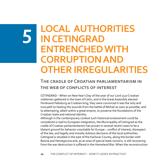## **LOCAL AUTHORITIES**   $\sqrt{2}$ **IN CETINGRAD ENTRENCHED WITH CORRUPTION AND OTHER IRREGULARITIES**

## **The cradle of Croatian parliamentarism in the web of conflicts of interest**

CETINGRAD – When on New Year's Day of the year of our Lord 1527 Croatian noblemen gathered in the town of Cetin, and in the Great Assembly elected Ferdinand Habsburg as Croatian king, they were convinced it was the only and true path to healing the wounds from the battle of Mohač as soon as possible, and to attempting, albeit within a great empire, to preserve the foundations of the Croatian state and national identity.

Although in the contemporary context such historical enslavement could be considered a road to European integration, the Municipality of Cetingrad as the cradle of Croatian parliamentarism has proven in several recent cases to be a blatant ground for behavior unsuitable for Europe – conflict of interest, disrespect of the law, and legally and morally dubious decisions of the local authorities. Cetingrad is situated in the east of the Karlovac County, along the border with Bosnia and Herzegovina and, as an area of special state concern, is still recovering from the war destruction it suffered in the Homeland War. When the reconstruction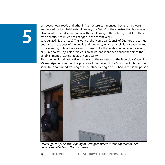of houses, local roads and other infrastructure commenced, better times were announced for its inhabitants. However, the "train" of the construction boom was also boarded by individuals who, with the blessing of the politics, used it for their own benefit. Not much has changed in the recent years.

What exactly is the issue? The work of the Municipal Council of Cetingrad is carried out far from the eyes of the public and the press, which as a rule is not even invited to its sessions, unless it is a solemn occasion like the celebration of an anniversary or Municipality Day. This practice is no news, and it has been cherished since the establishment of Cetingrad as a Municipality.

Thus the public did not notice that in 2001 the secretary of the Municipal Council, Milan Gašparin, took over the position of the mayor of the Municipality, but at the same time continued working as a secretary. Cetingrad thus had in the same person



Head Offices of The Municipality of Cetingrad where a series of malpractices have been detected in the past years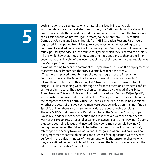both a mayor and a secretary, which, naturally, is legally irreconcilable. In its mandate since the local elections of 2005, the Cetingrad Municipal Council has taken several other very dubious decisions, which fit nicely into the framework of a classic conflict of interest. Igor Strmota, councilman from HDZ (Croatian Democratic Union) and Dragan Brajdić from HSS (Croatian Peasant Party) were registered, in the period from May 30 to November 30, 2006, according to the program of so called public works of the Employment Service, as employees of the municipal Utility Service, i.e. the Municipality from which they received their salary. All the while, however, they did not submit their resignations to their councilman posts, but rather, in spite of the incompatibility of their functions, voted regularly at the Municipal Council sessions.

It was interesting to hear the comment of mayor Nikola Paulić on the employment of those two councilmen when the story eventually reached the media.

- They were employed through the public works program of the Employment Service, so they cost the Municipality only a thousand kuna a month each. You tell me then, is it better for this young lad, Strmota, to mow the lawns or to sell drugs? - Paulić's reasoning went, although he forgot to mention an evident conflict of interest in this case. The case was then commented by the head of the State Administrative Office for Public Administration in Karlovac County, Željko Spudić, whose justification was that the legality of the Municipal Councils' work falls under the competence of the Central Office. As Spudić concluded, it should be examined whether the votes of the two councilmen were decisive in decision-making. If not, in Spudić's opinion there is no reason to invalidate the questionable sessions. The only SDP (Social Democratic Party) member in the Municipal Council, Stipe Pavlinović, and the independent councilman Joso Medved were the only ones to warn of this irregularity on several occasions. However, every time, Pavlinović claims, they were coarsely silenced and insulted. One councilman even told Pavlinović during the discussion that "it would be better for him to go back to his Kladuša", referring to the nearby town in Bosnia and Herzegovina where Pavlinović was born. It is symptomatic that the objections and queries of the opposition were never to be found in the official minutes of the sessions, while the written replies to which they are entitled under the Rules of Procedure and the law also never reached the addresses of "inquisitive" councilmen.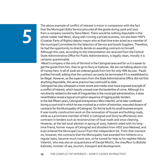The above example of conflict of interest is minor in comparison with the fact that the Municipal Utility Service procured all the goods during 2006 and 2007 from a company owned by Slava Mesić. There would be nothing disputable in the whole matter had Mesić, along with running a private business, not also been HSP's (Croatian Party of Rights) deputy mayor who at that time even acted as a member of the municipal Committee for the Selection of Service and Goods Suppliers. Therefore, he had the opportunity to directly decide on awarding contracts to himself. Although this case, according to the interpretation we received from the Central State Administrative Office for Public Administration, is legally clean, morally it is certainly questionable.

-Mesić's company is the only of the kind in the Cetingrad area and for us it is easier to get the goods from him, than to go to Slunj or Karlovac. We are not talking about a lot of money here. In all of 2006 we ordered goods from him for only HRK 60,000 - Paulić justified himself, adding that the contract can easily be terminated if it is established to be illegal. However, as the supervisors from the State Administrative Office did not find anything disputable, the same practice has continued to date.

Cetingrad has also witnessed a more recent and media-wise more exposed example of a conflict of interest, which heavily crossed over the borderline of crime. Although it is not directly related to the web of irregularities in the municipal administration, it does nevertheless reveal a typical corruption sequence of rigging public tenders. In the last fifteen years, Cetingrad entrepreneur Mićo Valentić, as he later confessed during a court trial in which he was involved as a victim of extortion, executed dozens of contracts for the Municipality of Cetingrad. On this he built his small business empire. It was mostly construction work on the renovation of houses and building roads, while as a prominent member of HDZ in Cetingrad and Slunj he effortlessly won contracts in tenders such as reconstruction of local roads and snow cleaning. However, at the last local election in spring of 2005, Valentić sided with his longtime friend, former mayor of Cetingrad and dissident from HDZ Joso Medved, and even entered the Municipal Council from the independent list. From that moment on, however, the contracts that the Municipality had awarded him hitherto on a regular basis, became much more rare, so he turned for help to his nephew Nikola Valentić, who was also an acquaintance of Danijel Miočić, the chauffeur to Božidar Kalmeta, minister of sea, tourism, transport and development.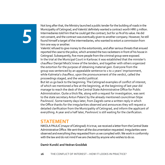Not long after that, the Ministry launched a public tender for the building of roads in the Municipality of Cetingrad, and Valentić definitely wanted a contract worth HRK 5 million. Intermediaries told him that he could get the contract, but for 10 % of its value. He did not consent, and the contract was eventually given to another company. However, he still found himself a target of the intermediaries, who wanted to extort a commission from him one way or another.

Valentić refused to give money to the extortionists, and after serious threats that ensued reported the case to the police, which arrested the two racketeers in front of his house in Cetingrad. Subsequently, five more people from the criminal group were exposed. In the trial at the Municipal Court in Karlovac it was established that the minister's chauffeur Danijel Miočić knew of the tenders, and together with others organized the extortion for the purpose of obtaining material gain. Everyone from the group was sentenced by an appealable sentence to 1 to 2 years' imprisonment, while Kalmeta's chauffeur, upon the pronouncement of the verdict, called the proceedings staged, and the verdict political.

But let us go back to the beginning. The Cetingrad examples of conflict of interest, of which we mentioned a few at the beginning, at the beginning of last year did manage to reach the desk of the Central State Administrative Office for Public Administration. Quite a thick file, along with a request for investigation, was sent to the state secretary Antun Palarić by the already mentioned councilman Stipe Pavlinović. Some twenty days later, from Zagreb came a written reply in which the Office thanks for the irregularities observed and announces they will request a detailed clarification from the Municipality of Cetingrad, and inform the applicant of everything. A year and a half later, Pavlinović is still waiting for the clarification.

## **STATEMENT**

NIKOLA PAULIĆ (mayor of Cetingrad): It is true, we received a letter from the Central State Administrative Office. We sent them all the documentation requested. Irregularities were observed and everything they requested from us we complied with. We work in conformity with the law and do not mind if we are checked by anyone who wishes to do so.

### **Damir Kundić and Vedran Gvožđak**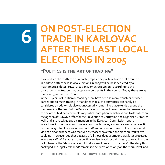## **ON POST-ELECTION**  6 **TRADE IN KARLOVAC AFTER THE LAST LOCAL ELECTIONS IN 2005**

## **"Politics is the art of trading"**

If we reduce the matter to pure factography, the political trade that occurred in Karlovac after the last local elections in 2005 will be best depicted by a mathematical detail. HDZ (Croatian Democratic Union), according to the constituents' votes, on that occasion won 9 seats in the council. Today there are as many as 13 in the Town Council.

In the 18 years of Croatian democracy there have been so many transfers between parties and so much trading in mandates that such occurrences can hardly be considered an oddity. It is also not necessarily something that extends beyond the framework of the law. But the Karlovac case of 2005 will nevertheless be remembered as one of the text book examples of political corruption, which was due to its nature on the agenda of USKOK (Office for the Prevention of Corruption and Organized Crime) as well, and also received special mention in the European Commission report. In Karlovac in 2005 we could thus see how much money a mandate won at an election can be bought for. For a round sum of HRK 20,000 a month. We could also see what kind of personal benefit was received by those who altered the election results. We could not, however, see that because of all those deeds someone was later processed in any way. Why? Because in the political milieu, fraud for gain is easy to wrap into the cellophane of the "democratic right to dispose of one's own mandate". The story thus packaged and legally "cleaned" remains to be questioned only on the moral level, and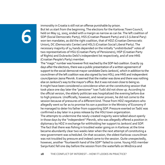immorality in Croatia is still not an offense punishable by prison. But let us start from the beginning. The elections for the Karlovac Town Council, held on May 15, 2005, ended with a margin as narrow as can be. The left coalition of SDP (Social Democratic Party), HSS (Croatian Peasant Party) and LS (Liberal Pary) won ten mandates, as did the right coalition, that of HDZ (Croatian Democratic Union), DC (Democratic Center) and HSLS (Croatian Social Liberal Party). The necessary majority of 14 hands depended on the initially "undistributed" votes of two representatives of HSU (Croatian Party of Pensioners), HSP (Croatian Party of Rights) and Dubravko Delić's independent list respectively, and of one HNS (Croatian People's Party) member.

The "magic" number was however first reached by the SDP-led coalition. Exactly 29 days after the elections, there was a public presentation of a written agreement of support to the social-democrat mayor candidate Dario Janković, which in addition to the councilmen of the left coalition was also signed by two HSU, one HNS and independent councilperson Jasna Plevnik. It seemed that the matter was done and there was nothing else on Janković's way to the mayor's office. But it was not even close to being so. It might have been considered a coincidence when at the constituting session that took place one day later the "pensioner" Ivan Tudić did not show up. According to the official version, the elderly politician was hospitalized the evening before due to high pressure. Unofficially, however, and never proven, he did not come to the session because of pressures of a different kind. Those from HDZ negotiators who allegedly went so far as to promise his son a position in the Ministry of Economy if he managed to deter his father from supporting SDP. Pressure exerted on Tadić was confirmed a day later in a press release by the HSU town organization. The attempts to undermine the newly-created majority were talked about openly in those days by the "independent" Plevnik, who was allegedly offered a position in diplomacy by HDZ in exchange for withholding her support to Janković and SDP. The fact that there was fishing in troubled water going on in Karlovac at the time became abundantly clear two weeks later when the next attempt of constituting a new government was scheduled. On that occasion, the oldest Karlovac councilman was not troubled by pressure and indeed came to the session. Quite unexpectedly,

however, another "fourteenth hand of the SDP" failed to come. Young HSS member Sanja Katić fell one day before the session from the waterfalls on Mrežnica and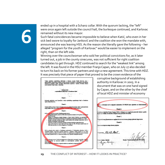ended up in a hospital with a Schanz collar. With the quorum lacking, the "left" were once again left outside the council hall, the burlesque continued, and Karlovac remained without its new mayor.

Such fatal coincidences became impossible to believe when Katić, who even in her sick bed swore to loyalty for Janković and the coalition she won the mandate with, announced she was leaving HSS. As the reason she literally gave the following – her alleged "program for the youth of Karlovac" would be easier to implement on the right, than on the left side.

Winning over the councilwoman who sold her political convictions for, as it later turned out, a job in the county sinecures, was not sufficient for right coalition candidates to get through. HDZ continued to search for the "weakest link" among the left. It was found in the HSU member Franjo Capan, who on July 27 also decided to turn his back on his former partners and sign a new agreement. This time with HDZ. It was precisely that piece of paper that proved to be the crown evidence of the



corruptive background of establishing authority in Karlovac in 2005. In a document that was on one hand signed by Capan, and on the other by the chief of local HDZ and minister of economy

|                                          | Classic 6.                                                                                                                                               |  |
|------------------------------------------|----------------------------------------------------------------------------------------------------------------------------------------------------------|--|
|                                          | Podrškom vijednika Franje Capana HDZ-u izbjegava se mogućnost ponovnih izbora u gradu<br>Karlovcu i troška od nekoliko milijuna kuna poreznih obveznika. |  |
|                                          | Classic 7.                                                                                                                                               |  |
|                                          | Potpisnici ovog Sporazuma su suglasni da će sva otvorena pitanja rjeđevati dogovorne                                                                     |  |
|                                          | Clarak R.                                                                                                                                                |  |
| Sporazioni stupa na snagu danom potpisa. |                                                                                                                                                          |  |
| $U$ Karloway $-27.07.205$                |                                                                                                                                                          |  |
|                                          | <b>Branko Vu</b>                                                                                                                                         |  |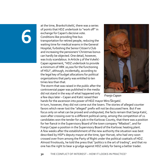at the time, BrankoVukelić, there was a series of points that HDZ undertook to "work off" in exchange for Capan's decisive vote. Conditions like providing free bus transportation for retired people, reducing the waiting time for medical exams in the General Hospital, furbishing the Senior Citizen's Club and increasing the pensioners' Christmas bonus can hardly be objected. One detail, however, was truly scandalous. In Article 5 of the Vukelić-Capan agreement, "HDZ undertook to provide a minimum of HRK 20,000 for the functioning of HSU", although, incidentally, according to the legal key of budget allocations for political organizations that party was entitled to ten times less than that.

The storm that was raised in the public after the controversial paper was published in the media did not stand in the way of what happened only a few days later – Capan and Katić raised their



Franjo Capan

hands for the ascension into power of HDZ mayor Miro Škrgatić. In turn, however, they did not come out the losers. The stories of alleged counter favors which never lost the "alleged" prefix will not be discussed here. But if we focus only on what can be proved and undisputed, the facts remain that Sanja Katić, soon after crossing over to a different political camp, among the competition of 21 candidates won the tender for a job in the Karlovac County, that there was a position for her fiancé in the Supervisory Board of the town company "Mladost", and for Franjo Capan a position in the Supervisory Board of the Karlovac heating plant. A few weeks after the establishment of the new authority the situation was best described by HSP's deputy mayor at the time, Igor Horvat, who had very soon crossed over from among the Party of Right under the political coattails of HDZ. Almost frivolously, he told the press that "politics is the art of trading", and that no one has the right to bear a grudge against HDZ solely for being a better trader.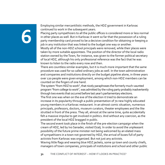Employing similar mercantilistic methods, the HDZ government in Karlovac continued to work in the subsequent years.

Placing party sympathizers to all the public offices is considered more or less normal in other places as well. But in Karlovac it went so far that the possession of a ruling party membership card proved to be a decisive condition for obtaining or keeping a job in any institution that was linked to the budget one way or another. Mostly all of the non-HDZ school principals were removed, while their places were taken by more suitable appointees. The position of the director of the local radio

station owned by the Town, for instance, was given to the former political secretary of local HDZ, although his only professional reference was the fact that he was known to listen to the radio every now and then.

There are countless similar examples, but it is much more important that the same procedure was used for so called ordinary jobs as well. In the town administration and companies and institutions directly on the budget pipeline alone, in three years over 120 people were given employment, among which non-HDZ members can be counted on the fingers of one hand.

The system "from HDZ to work", that nicely paraphrases the formerly much-vaunted program "from college to work", was admitted by the ruling party probably inadvertently through two events that occurred before last year's parliamentary elections.

The first one was when on the eve of the election it tried to demonstrate an increase in its popularity through a public presentation of 70 new highly educated young members in a Karlovac restaurant. In an almost comic situation, numerous principals, professors, doctors, museum curators, theater employees and the like strutted in front of the press. They all, almost at the same time, quite accidentally felt a massive impulse to get involved in politics. And without any coercion, as the president of the local HDZ bragged in public.

The second event took place in the finish of the pre-election campaign when the cream of HDZ, led by Ivo Sanader, visited Ozalj. In order to avoid the unpleasant possibility of the future prime minister not being welcomed by an elated mass of sympathizers in a town not governed by HDZ, the arrival of buses full of party activists from Karlovac was organized. But not just any activists.

Waving little flags and wearing blue HDZ jackets, some 50 town and county chiefs, managers of town companies, principals of institutions and school and other public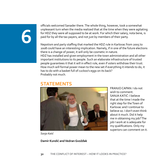officials welcomed Sanader there. The whole thing, however, took a somewhat unpleasant turn when the media realized that at the time when they were agitating for HDZ they were all supposed to be at work. For which their salary, nota bene, is paid for by all the tax payers, and not just by members of their party.

Nepotism and party staffing that marked the HDZ rule in Karlovac from 2005 to 2008 could have an interesting implication. Namely, if in one of the future elections there is a change of power, it will only be cosmetic in nature. HDZ has installed and given employment in the town administration and all other important institutions to its people. Such an elaborate infrastructure of trusted people guarantees it that it will in effect rule, even if voters withdraw their trust. How much will formal power mean to the new set if everything it intends to do, it has to do with a basket full of cuckoo's eggs on its back? Probably not much.

## **STATEMENTS**



FRANJO CAPAN: I do not wish to comment. SANJA KATIĆ: I believe that at the time I made the right step for the Town of Karlovac and I continue to believe so. I don't even think about it much. Did it help me in obtaining my job? The job I work at is adequate for my qualifications. Only my superiors can comment on it.

*Sanja Katić*

## **Damir Kundić and Vedran Gvožđak**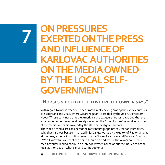## **ON PRESSURES EXERTED ON THE PRESS AND INFLUENCE OF KARLOVAC AUTHORITIES ON THE MEDIA OWNED BY THE LOCAL SELF-GOVERNMENT**

## **"Horses should be tied where the owner says"**

With regard to media freedom, does Croatia really belong among the exotic countries like Botswana and Chad, where we are regularly classified by the US NGO Freedom House? Those convinced that the Americans are exaggerating just a tad and that the situation is not as dire after all, surely never had the "good fortune" of working in one of the media companies owned by the state or local governments.

The "social" media are considered the most neuralgic points of Croatian journalism. Why that is so was best summarized in just a few words by the editor of Radio Karlovac at the time, a media institution owned by the Town of Karlovac and Karlovac County. - We all know full well that the horse should be tied where the owner says - this media worker replied coolly in an interview when asked about the influence of the local authorities on what can and cannot go on air.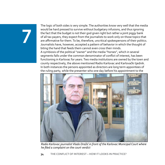The logic of both sides is very simple. The authorities know very well that the media would be hard pressed to survive without budgetary infusions, and thus ignoring the fact that the budget is not their god given right but rather a joint piggy bank of all tax payers, they expect from the journalists to work only on those topics that are affirmative for them. To be, therefore, uncritical spokespersons of their politics. Journalists have, however, accepted a pattern of behavior in which the thought of biting the hand that feeds them cannot even cross their minds. A symbiosis of the political "owner" and the media "horses", which in several segments falls under the common denominator of conflict of interest, has been functioning in Karlovac for years. Two media institutions are owned by the town and county respectively, the above mentioned Radio Karlovac and Karlovački tjednik. In both instances the persons appointed as directors are long term appointees of the ruling party, while the presenter who one day before his appointment to the



Radio Karlovac journalist Vlado Dražić in front of the Karlovac Municipal Court where he filed a complaint on the court verdict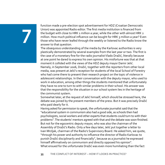function made a pre-election spot advertisement for HDZ (Croatian Democratic Union) was appointed Radio editor. The first media institution is financed from the budget with close to HRK 1 million a year, while the other with almost HRK 2 million. How much political influence can be bought for HRK 3 million a year? Even those who have never leafed through the weekly or listened to the Radio know the answer to that question.

The obsequious understanding of the media by the Karlovac authorities is very plastically demonstrated by several examples from the last year or two. The first is the case of a monetary fine for the radio journalist Vlado Dražić, literally because at one point he dared to express his own opinion. His misfortune was that at that moment it collided with the views of the HDZ deputy mayor Damir Jelić. Namely, in September 2006, Dražić, together with the reporters from other local media, was present at Jelić's reception for students of the local School of Forestry who had come there to present their research project on the topic of violence in adolescent relationships. In their conversation with the deputy mayor, who used to work in education, among other things the students mentioned that unfortunately they have no one to turn to with similar problems in their school. His answer was that the responsibility for the situation in our school system lies in the heritage of the communist system.

Somewhat later, at the request of Jelić himself, which should be stressed here, the debate was joined by the present members of the press. But it was precisely Dražić who paid dearly for it.

Having asked for permission to speak, the unfortunate journalist said that the "educational system in communism also had a good side, as schools then had psychologists, social workers and other experts that students could turn to with their problems". The students' mentors agreed with that and the debate was soon finished. But not for the egocentric deputy mayor, who was also the chairman of the Assembly of Dražić's Radio. Only a few days later, Jelić put together a letter to Ivan Mrzljak, chairman of the Radio's Supervisory Board. He asked him, we quote, "through his power and authority to influence the director of Radio Karlovac to punish Dražić disciplinarily and financially", because as a journalist he expressed himself affirmatively on communism and directly opposed his opinion". What ensued for the unfortunate Dražić was even more humiliating than the fact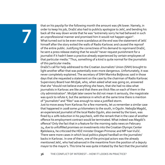that on his payslip for the following month the amount was 5% lower. Namely, in order to keep his job, Dražić also had to publicly apologize to Jelić, and bending his back all the way down wrote that he was "extremely sorry he had behaved in such an unprofessional manner and promised him it would not happen again". What turned out to be even more scandalous at the end was the statement of Jelić himself after the story exited the walls of Radio Karlovac and caused the reproof of the entire public. Justifying the correctness of his demand to reprimand Dražić, he sent a press release stating that he would "never request punishment for a journalist if it hadn't been a practice already experienced by certain employees of that particular media." Thus, something of a kind is quite normal for the journalists of this particular media.

Dražić's call for help addressed to the Croatian Journalists' Union (SNH) brought to light another affair that was potentially even more dangerous. Unfortunately, it was never completely explained. The secretary of SNH Marinka Boljkovac said in those days that she requested a statement on the case by the chairman of Radio Karlovac Supervisory Board Ivan Mrzljak, who, when asked what was going on, answered that she "should not believe everything she hears, that she had no idea what journalists in Karlovac are like and that there are thick files on each of them in the city administration". Mrzljak later swore he did not mean it seriously, the magistrate was quick to refute it, but the sentence in which at the same time there is mention of "journalists" and "files" was enough to raise a justified storm.

Just to move away from Karlovac for a few moments, let us remember a similar case that happened in 2008 some 40 kilometers to the south, in Ogulin. Nebojša Magdić, an experienced journalist of the local Radio Ogulin, also owned by the town, was fined by a 20% reduction in his paycheck, with the remark that in the case of another offence his employment contract would be terminated. What indeed was Magdić's offence? Only the fact that in a feature for the morning radio news on February 24, due to unfulfilled promises on investments into the Croatian Olympic Center Bjelolasica, he criticized the HDZ minister Dragan Primorac and MP Ivan Vučić. There were more cases in which local politics played hardball on the journalists' backs in Karlovac. In one of them, one of the principal actors was the already mentioned Jelić, who had advanced in the meantime from the position of a deputy mayor to the mayor's. This time he was quite irritated by the fact that the journalist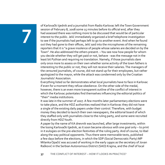of Karlovački tjednik and a journalist from Radio Karlovac left the Town Government session of February 8, 2008 some 15 minutes before its official end, after they had assessed there was nothing more to be discussed that would be of particular interest to the public. Jelić immediately organized a brief telephone investigation to see if the journalists had perhaps left to go to another event. And when he found out they had gone to their offices, Jelić said into the microphones of the remaining reporters that it is "a grave insolence of people whose salaries are decided on by the Town". He also addressed the others present. – You see now how people for whom you decide whether they will get paid or not, behave - was the message not in the least bit Pythian and requiring no translation. Namely, if those journalists dare only once more to assess on their own whether some activity of the town fathers is interesting to the public or not, they will not receive their salaries. The managers of the censured journalists, of course, did not stand up for their employees, but rather apologized to the mayor, while the attack was condemned only by the Croatian Journalists' Association.

Everything listed so far demonstrates what local journalists have to face in Karlovac if even for a moment they refuse obedience. On the other side of the medal, however, there is an even more transparent outline of the conflict of interest in which the Karlovac potentates find themselves influencing the editorial politics of "their" media institutions.

It was late in the summer of 2007. A few months later parliamentary elections were to take place, and the HDZ authorities realized that in Karlovac they did not have a single of the existing daily papers under their control. Therefore, with budget money they decided to launch their own newspapers, the editorial board of which they staffed only with journalists close to the ruling party, and some were recruited directly from HDZ Youth.

A paper by the name of KA dnevnik was launched, after large investments, within the losing Karlovački tjednik, as it soon became obvious with one goal only – to print in it eulogies on the pre-election festivities of the ruling party. And of course, to libel along the way political opponents. Thus there were memorable texts, published a few days before the elections, in which the SDP (Social Democratic Party) MP Milanka Opačić was accused of working in the early 1990s as the secretary of Jovan Rašković in the Serbian Autonomous District (SAO) Krajina, and the chief of local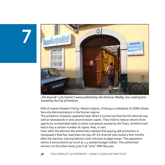

"KA dnevnik" ("Ka Diaries") were published by the Karlovac Weekly, loss-making firm owned by the City of Karlovac

HNS (Croatian People's Party), Nikola Vuljanić, of being a confidante of UDBA (State Security Administration) in the former regime.

The problems, however, appeared later when it turned out that the KA dnevnik was sold at newsstands in only several dozen copies. They tried to reduce returns from agents by orchestrated sales to other companies owned by the Town, of which each had to buy a certain number of copies. Alas, in vain.

Soon after the election the authorities realized that paying self-promotion in newspapers that few read does not pay off. KA dnevnik was closed a few months after the election, leaving behind it still unknown budget losses. The opposition claims it amounted to as much as 2.5 wasted budget million. The authorities' version, on the other hand, puts it at "only" HRK 800,000.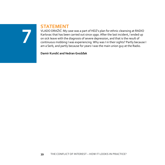## **STATEMENT**

VLADO DRAŽIĆ: My case was a part of HDZ's plan for ethnic cleansing at RADIO Karlovac that has been carried out since 1990. After the last incident, I ended up on sick leave with the diagnosis of severe depression, and that is the result of continuous mobbing I was experiencing. Why was I in their sights? Partly because I am a Serb, and partly because for years I was the main union guy at the Radio.

**Damir Kundić and Vedran Gvožđak**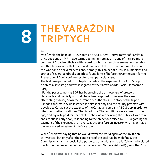## **The Varaždin Triptych**

## **1.**

Ivan Čehok, the head of HSLS (Croatian Social Liberal Party), mayor of Varaždin since 2001 and an MP in two terms beginning from 2003, is one of the rare more prominent Croatian officials with regard to whom attempts were made to establish whether he was in conflict of interest, and one of those even more rare for whom this was done on several occasions. Namely, this holder of a PhD in humanities and author of several textbooks on ethics found himself before the Commission for the Prevention of Conflict of Interest for three particular cases.

The first case pertained to his trip to Canada at the expense of the ABC Group, a potential investor, and was instigated by the Varaždin SDP (Social Democratic Party).

- For the past six months SDP has been using the atmosphere of pressure, blackmails and media lynch that I have been exposed to because they are attempting to bring down the current city authorities. The story of the trip to Canada confirms it. SDP lies when it claims that my and the county prefect's wife traveled to Canada at the expense of the Canadian company ABC Group in order to offer them better conditions. That is not true. The conditions were agreed on long ago, and my wife paid for her ticket – Čehok was convincing the public of Varaždin and Croatia in early 2004, responding to the objections raised by SDP regarding the payment of the expenses of an overseas trip to a foreign investor who never made the announced investment into Varaždin.

While Čehok was saying that he would travel the world again at the invitation of investors, but only after the conditions of the deal had been defined, the Commission chairman Josip Leko purported that with such a trip Čehok had violated the Act on the Prevention of Conflict of Interest. Namely, Article 8(1) says that "For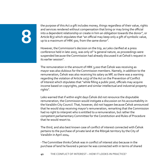the purpose of this Act a gift includes money, things regardless of their value, rights and services rendered without compensation that bring or may bring the official into a dependent relationship or create in him an obligation towards the donor", or Article 8(3) which stipulates that "an official may keep only a gift of symbolic value, up to a maximum of HRK 500, from the same donor".

However, the Commission's decision on the trip, as Leko clarified at a press conference held in late 2005, was only of "a general nature, as proceedings were suspended because the Commission had already discussed it at Čehok's request in its earlier session".

The remuneration in the amount of HRK 3,000 that Čehok was receiving as mayor was also dubious for the Commission members. Namely, in addition to the remuneration, Čehok was also receiving his salary as MP, so there was a warning regarding the violation of Article 10(3) of the Act on the Prevention of Conflict of Interest which stipulates that "while filling a public post, officials may acquire income based on copyrights, patent and similar intellectual and industrial property rights".

Leko warned that if within eight days Čehok did not renounce the disputable remuneration, the Commission would instigate a discussion on his accountability in the Varaždin City Council. That, however, did not happen because Čehok announced that he would stop receiving mayor's remuneration, remarking that the Commission had no right to interpret who is entitled to a remuneration, but rather the competent parliamentary Committee for the Constitution and Rules of Procedure that he would resort to.

The third, and also best known case of conflict of interest connected with Čehok pertains to the purchase of private land at the Ribnjak territory by the City of Varaždin in April 2004.

- The Committee thinks Čehok was in conflict of interest also because in the purchase of land he favored a person he was connected with in terms of shared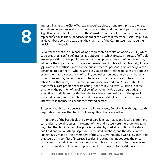interest. Namely, the City of Varaždin bought 4 plots of land from private owners, with three persons receiving € 20 per square meter, and the fourth person receiving € 35. It was the wife of the head of the Varaždin Chamber of Economy, who had replaced Čehok in the Supervisory Board of the Varaždin free zone – said Josip Leko in November 2005, who was then the chairman of the Committee that made the decision unanimously.

Leko warned that the purchase of land represented a violation of Article 1(2), which stipulates that "conflict of interest is a situation in which private interests of officials are in opposition to the public interest, or when private interest influences or may influence the impartiality of officials in the exercise of public office". Namely, Article 3(3) warns that "officials may not use public office for personal gain or the gain of a person related to them", whereas Article 4 states that "related persons are a spouse or common-law partner of the official..., and other persons that on other bases and circumstances may be considered to be related in terms of shared interest to the official". Furthermore, the Commission members warned that Article 6 stipulates that "officials are prohibited from acting in the following way: ...i) using in some other way the position of an official by influencing the decision of legislative, executive of judicial authorities in order to achieve personal gain or the gain of a related person, some benefit or right, make a legal deal or in other way favor interest-wise themselves or another related person".

Stressing that his conscience is clear in all three cases, Čehok said with regard to the disputable purchase that he did not feel guilty in that case either.

- That is one of the best deals the City of Varaždin has made, and local government can under no law dispossess the owner of the land, so we were therefore forced to pay what that family asked. The price is dictated by market conditions, the state audit did not find anything disputable in the said purchase, and the decision was unanimously made by nine members of the City Government. If we follow that logic they were all in conflict of interest. Besides, I have neither negotiated the price of the land, nor did I know whose plot it was or favor that person I had never seen before– warned Čehok, who complained on two occasions to the Administrative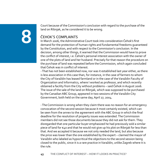Court because of the Commission's conclusion with regard to the purchase of the land on Ribnjak, as he considered it to be wrong.

## Čehok's complaints

In March 2006, the Administrative Court took into consideration Čehok's first demand for the protection of human rights and fundamental freedoms guaranteed by the Constitution, and with respect to the Commission's conclusion. In the decision, among other things, it warned that the Commission would have to prove the conflict of interest, i.e. Čehok's personal interest association with the owner of one of the plots of land and her husband. Precisely for that reason the procedure on the purchase of land was repeated before the Commission, which again concluded that Čehok was in conflict of interest.

- That has not been established now, nor was it established last year either, as there is less association in this case than, for instance, in the case of farmers to whom the City of Varaždin has leased farmland or in the case of the Varaždin Faculty of Organization and Informatics, where I worked as professor, and which recently obtained a facility from the City without problems – said Čehok in August 2006. The issue of the sale of the land on Ribnjak, which was supposed to be purchased by the Canadian ABC Group, appeared in two sessions of the Varaždin City Government, both held on the same day, April 27, 2004.

- The Commission is wrong when they claim there was no reason for an emergency convocation of the second session because it most certainly existed, which can be seen from the annex to the agreement with the ABC Group in which the final deadline for the resolution of property issues was extended. The Commission members did not see those documents because they did not ask for them. They disregarded that one particular buyer emphasized he had previously sold a similar piece of land for €40 and that he would not give up his plot on Ribnjak for less than that. And we accepted it because we not only needed the land, but also because the price was lower than the one established by the expert – claimed the mayor of Varaždin who labeled as hypocritical the objections to the second session being closed to the public, since it is a rare practice in Varaždin, unlike Zagreb where it is the rule.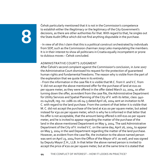Čehok particularly mentioned that it is not in the Commission's competence to establish either the illegitimacy or the legitimacy of the City Government's decisions, as there are other authorities for that. With regard to that, he singles out the State Audit Office which did not find anything disputable in the purchase.

- In view of all this I claim that this is a political construct orchestrated by individuals from SDP, such as the Commission chairman Josip Leko manipulating the members. It is in their interest to show all politicians in Croatia equally incompetent or prone to dubious moves – Čehok concluded.

## Administrative Court's judgment

After Čehok's second complaint against the Commission's conclusion, in June 2007 the Administrative Court dismissed his request for the protection of guaranteed human rights and fundamental freedoms. The reason why is visible from the part of the explanation that we quote here in its entirety.

- From the information in the case file it is visible that M.C. from V. and V.C. from V. did not accept the above mentioned offer for the purchase of land at €20.00 per square meter, as they were offered in the offer dated March 22, 2004, so after turning down the offer, as evident from the case file, the Administrative Department for Utility Services and Spatial Planning of the City of V. with its letter, class: 940- 01-04/01/8, reg. no: 2186-01-06-04-5 dated April 26, 2004 sent an invitation to M. C. with regard to the land purchase. From the content of that letter it is visible that M. C. did not accept the purchase of the land at €20.00 per square meter, but asked instead for €30.00 per square meter, which is why he is informed in that letter that his offer is not acceptable, that the amount being offered is still €20.00 per square meter, and he is invited to appear regarding the matter of the purchase of the land in the above mentioned Department on May 3, 2004. The said Administrative Department of the City of V. invited V.C. on the same day, April 26, 2004, to appear on May 3, 2004 in the said Department regarding the matter of the land purchase. However, as evident from the case file, the invitation to the above named person was sent on April 23, 2004 from the Office of the Mayor of V. as well, and was signed by Deputy Mayor Z.H., LLB. In that letter the above named person is invited to accept the price of €20.00 per square meter, but at the same time it is stated that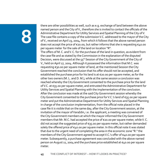there are other possibilities as well, such as e.g. exchange of land between the above named person and the City of V., therefore she is invited to contact the officials of the Administrative Department for Utility Services and Spatial Planning of the City of V. The case file contains a copy of the submission V.C. addressed to the mayor of the City of V., received on April 23, 2004, from which it follows that the above named person does not accept the price of  $\varepsilon$ 20.00, but rather informs that she is requesting  $\varepsilon$ 40.00 per square meter for the sale of the land on location "R". The offers of M. C. and V. C. for the purchase of the land in question, as evident from the case file and as stated by the Commission in the explanation of the disputed Decision, were discussed at the 55<sup>th</sup> Session of the City Government of the City of V., held on April 27, 2004. Although it possessed the information that M.C. was requesting €30.00 per square meter of land, at the mentioned Session the City Government reached the conclusion that his offer should not be accepted, and established the purchase price for his land is at €20.00 per square meter, as for the other two owners (M. L. and D. M.), while at the same session a conclusion was reached whereby the City Government consented to the purchase price for the land of V.C. at €35.00 per square meter, and entrusted the Administrative Department for Utility Services and Spatial Planning with the implementation of the conclusion. After the conclusion was made at the said City Government session whereby the City Government consented to the purchase price for V.C.'s land of  $\epsilon$ 35.00 per square meter and put the Administrative Department for Utility Services and Spatial Planning in charge of the conclusion implementation, from the official note placed in the case file it is visible that on the same day, after the City Government session, at the invitation of the mayor of Varaždin, i.e. the applicant, a meeting was convened of the City Government members at which the mayor informed the City Government members that Mr. M.C. had accepted the price of €20.00 per square meter, while V. C. did not accept the suggested price of €35.00 per square meter, but rather demanded solely the offered price of €40.00 per square meter. In this official note it was stated that due to the urgent need of completing the area in the economic zone "R." the members of the City Government agreed to accept V.C.'s offer of €40.00 per square meter. Subsequently, a purchase agreement was concluded with the above named person on August 11, 2004 and the purchase price established at €40.00 per square meter.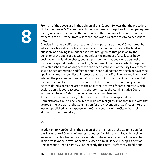From all of the above and in the opinion of this Court, it follows that the procedure of the purchase of V.C.'s land, which was purchased at the price of €40.00 per square meter, was not carried out in the same way as the purchase of the land of other owners in the "R." zone, from whom the land was purchased at €20.00 per square meter.

Considering that by different treatment in the purchase of land V.C. was brought into a more favorable position in comparison with other owners of the land in question, and having in mind that she was brought into that position by the behavior of the applicant as well, not only as the member of a collective body deciding on the land purchase, but as a president of that body who personally convened a special meeting of the City Government members at which the price was established that was higher than the price established at the City Government session, the Commission had foundations in concluding that with such behavior the applicant came into conflict of interest because as an official he favored in terms of interest the previous land owner V.C. who, according to all the circumstances that the Commission listed in the explanation of the disputed decision, can justifiably be considered a person related to the applicant in terms of shared interest, which explanation this court accepts in its entirety – states the Administrative Court judgment whereby Čehok's second complaint was dismissed. After receiving this decision, Čehok briefly stated that he respected the Administrative Court's decision, but still did not feel guilty. Probably in line with that attitude, the decision of the Commission for the Prevention of Conflict of Interest was not published at his expense in the Official Journal of the City of Varaždin, although it was mandatory.

## **2.**

In addition to Ivan Čehok, in the opinion of the members of the Commission for the Prevention of Conflict of Interest, another Varaždin official found himself in an impermissible situation, i.e. in a situation where he acted or could have acted in his own favor or in favor of persons close to him. It is the current president of HNS (Croatian People's Party), until recently the county prefect of Varaždin and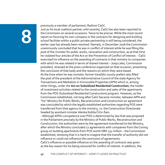previously a member of parliament, Radimir Čačić.

Just as his local coalition partner until recently, Čačić has also been reported to the Commision on several occasions. Twice to be precise. While the most recent report on favoring his own company in the contracts for designing and building school facilities within a public-private partnership is still being considered, the earlier case has already been resolved. Namely, in December 2006 the Commission unanimously concluded that he was in conflict of interest while he was filling the post of the minister for public works, renovation and construction, as at that time he violated four articles of the Act on the Prevention of Conflict of Interest. - Čačić exercised his influence on the awarding of contracts in that ministry to companies with which he was related in terms of shared interest – Josip Leko, Commission president, stressed at the press conference organized on that occasion, presenting the conclusion of that body and the reasons on which they were based. At the time when he was minister, former Varaždin county prefect also filled the post of the president of the Administrative Council of the state Agency for Transactions and Mediation in Immovable Properties (APN) which is, among other things, under the **Act on Subsidized Residential Construction**, the holder of investment activities related to the construction and sales of the apartments from the POS (Subsidized Residential Construction) program. However, as the Commission established, not long after Čačić became minister, between APN and "his" Ministry for Public Works, Reconstruction and Construction an agreement was concluded by which the legally established authorities regarding POS were transferred from that agency to the ministry, i.e. the Construction Directorate headed by assistant minister Alenka Košiša Čičin-Šain.

- Although APN's competence over POS is determined by law that was proposed in the Parliament precisely by the Ministry of Public Works, Reconstruction and Construction, the authorities were by the agreement transferred to the Ministry, after which the Ministry concluded 12 agreements with companies from the Coning group on building apartments from POS worth HRK 132 million – the Commission established, stressing that it is hard to imagine that the transfer of authority did not influence or could not influence the conclusion of agreements.

Čačić's influence or possible influence on the awarding of contracts was given as the key reason for his being censured for conflict of interest. In addition, the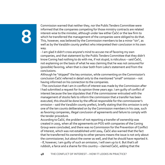Commission warned that neither they, nor the Public Tenders Committee were informed that the companies competing for those ministry contracts are related interest-wise to the minister, although under law either Čačić or the law firm to which he transferred the management of the companies were obliged to do that. This, however, was believed by the Commission members to be a minor "sin", as well as by the Varaždin county prefect who interpreted their conclusion in his own way.

- I am glad it didn't cross anyone's mind to accuse me of favoring my own companies, and that statement by the Public Tenders Committee that they didn't know Coning had nothing to do with me, if not stupid, is ridiculous – said Čačić, not explaining on the basis of what he was claiming that he was not censured for (possible) favoring, when that is clear both from Leko's statement and from the conclusions.

Although he "skipped" the key omission, while commenting on the Commission's conclusion Čačić referred in detail only to the mentioned "small" omission – not having informed on his connection to the companies.

- The conclusion that I am in conflict of interest was made by the Commission after I had submitted a request for its opinion three years ago. I am guilty of conflict of interest because the law stipulates that if the commissioner entrusted with the management of stocks fails to inform the commission that a transfer has been executed, this should be done by the official responsible for the commissioner's omission – said the Varaždin county prefect, briefly stating that this omission is only one of the ten counts deliberated on by the Commission members in his case, such as favoring companies, illegal conclusion of agreements and failure to comply with the tender procedure.

According to Čačić, the problem of not reporting a transfer of ownership was created in 2003, when all the agreements on POS with companies of the Coning Group were concluded, and there was no Commission for the Prevention of Conflict of Interest, which was not established until 2004. Čačić also warned that the fact that he transferred his ownership to other persons means the issue is not only about the commissioner, but about the owner as well, and that he should have reported it. - If, however, I am guilty of such an omission, I will own up to it. But that's all rubbish, a farce and a shame for this country – claimed Čačić, adding that the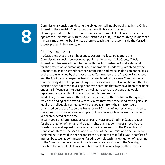Commission's conclusion, despite the obligation, will not be published in the Official Journal of the Varaždin County, but that he will file a claim instead.

- I am supposed to publish the conclusion as punishment? I will have to file a claim against the Commission with the Administrative Court, just for courtesy. It's not that it means much to me, but I will sue them to teach them a lesson – said the Varaždin county prefect in his own style.

## Čačić's complaint

As Čačić announced it, so it happened. Despite the legal obligation, the Commission's conclusion was never published in the Varaždin County Official Journal, and because of them he filed with the Administrative Court a demand for the protection of human rights and fundamental freedoms guaranteed by the Constitution. In it he stated that the Commission had made its decision on the basis of the results reached by the Investigative Commission of the Croatian Parliament and the findings of an expert witness that was hired by the same Commission, and that this body did not implement any specific evidence. He also pointed out that the decision does not mention a single concrete contract that may have been concluded under his influence or intercession, as well as no concrete actions that would represent his use of his ministerial post for his personal gain.

In addition, he emphasized that all contracts, save for the last four with regard to which the finding of the expert witness claims they were concluded with a particular legal entity allegedly connected with the applicant from the Ministry, were concluded before the Act on the Prevention of Conflict of Interest came into force, therefore with those actions he simply could not have violated a law that had not yet been enacted at the time.

In early 2008 the Administrative Court partially accepted Radimir Čačić's request for the protection of human and citizen rights and freedoms guaranteed by the Constitution, and against the decision of the Commission for the Prevention of Conflict of Interest. The second and third item of the Commission's decision were declared null and void. In the second item it was stated that Čačić was in conflict of interest because his commissioner failed to comply with the obligation of reporting to the Commission on entering into a business relationship with the Ministry, for which the official is held accountable as well. This was disputed because the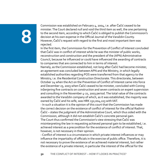Commission was established on February 4, 2004, i.e. after Čačić ceased to be minister. The Court declared null and void the third item as well, the one pertaining to the second item, according to which Čačić is obliged to publish the Commission's decision at his own expense in the Official Journal of the Varaždin County. However, Čačić's request with regard to the first and most important item was rejected.

In the first item, the Commission for the Prevention of Conflict of Interest concluded that Čačić was in conflict of interest while he was the minister of public works, reconstruction and construction and the president of the (APN) Administrative Council, because he influenced or could have influenced the awarding of contracts to companies that are connected to him in terms of interest.

Namely, as the Commission established, not long after Čačić had become minister, an agreement was concluded between APN and the Ministry, in which legally established authorities regarding POS were transferred from that agency to the Ministry, i.e. the Residential Construction Directorate. This directorate, between October 24 when the Act on the Prevention of Conflict of Interest came into force and December 23, 2003 when Čačić ceased to be minister, concluded with Coning inženjering five contracts on construction and seven contracts on expert supervision and consulting in the November 4-21, 2003 period. The total value of the contracts awarded to the Varaždin company of which, as it was established, the majority was owned by Čačić and his wife, was HRK 132,004,223 with VAT.

- In such a situation it is the opinion of this court that the Commission has made the correct decision on the existence of conflict of interest for the official Radimir Čačić – states the judgment of the Administrative Court, which thus sided with the Commission, although it did not establish Čačić's concrete personal gain. The Court thus confirmed the Commission's view stressing that Čačić was misinterpreting the law in requesting achieved personal gain to be established, i.e. achieved interest as a precondition for the existence of conflict of interest. That, however, is not necessary in their opinion.

- Conflict of interest is a circumstance in which private interest influences or may influence the impartiality of officials in the exercise of public office. Therefore, it is not necessary to prove the existence of an achieved material interest, but rather the existence of a private interest, in particular the interest of the official for the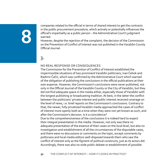companies related to the official in terms of shared interest to get the contracts in the public procurement procedure, which actively or potentially influences the official's impartiality as a public person – the Administrative Court's judgment warned.

However, despite the rejection of the complaint, the decision of the Commission on the Prevention of Conflict of Interest was not published in the Varaždin County Official Journal.

**3.**

### No real response or consequences

The Commission for the Prevention of Conflict of Interest established the impermissible situations of two prominent Varaždin politicians, Ivan Čehok and Radimir Čačić, which was confirmed by the Administrative Court which warned of the obligation of publishing the conclusions in the official publications at their own expense. However, the Commission's conclusions were never published, not only in the Official Journal of the Varaždin County or the City of Varaždin, but they did not find adequate space in the media either, especially those of Varaždin with the longest publishing or broadcasting tradition. At best, in the latter the conflict between the politicians' private interest and public interest received coverage on the level of news, i.e. brief reports on the Commission's conclusions. Contrary to that, the newer, fully privatized Varaždin media approached the cases of conflict of interest more openly both at a time when they were not yet known as such, and after the Commission's decision. Is it a coincidence?

Due to the comprehensiveness of the conclusions it is indeed hard to expect their integral presentation in the media. However, not only was there no adequate presentation of the essence of their cases on the local level, but also no investigation and establishment of all the circumstances of the disputable cases, and there were no discussions or comments on the topic, except comments by politicians and local media editors well-disposed towards them who saw the conflict of interest only as the figment of political constructs, just as its actors did. Accordingly, there was also no wide public debate or establishment of possible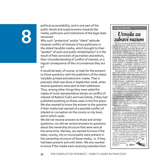political accountability, and in one part of the public doubt and suspiciousness towards the media, politicians and institutions of the legal state remained.

Why such "protective" and/or "silent" attitude towards conflict of interest of two politicians in the oldest Varaždin media, which brought to their "pardon" of sorts and public rehabilitation? Is it the result of free conviction of journalists and editors, their misunderstanding of conflict of interest, or a logical consequence of the circumstances they act in?

It would be best, of course, to look for the answers to those questions with the publishers of the oldest Varaždin printed and electronic media. That is precisely what was done in September 2008, when several questions were sent to their addresses. Thus, among other things they were asked for copies of most representative stories on conflict of interest of Radimir Čačić and Ivan Čehok, if they had published anything on those cases in the first place. We also wanted to know the answer to the question if their media had warned of a possible conflict of interest or corruption on the county or city level, and in which cases.

We did not receive answers to those and similar questions, nor did we receive answers to questions about the ownership structure that were sent at the same time. Namely, we wanted to know if the state, county, city or municipality were present in the ownership structure of those media, i.e. if they had been present and until when. We also wanted to know if the media were receiving subsidies from

### NAGLASAK

## Uvreda za zdravi razum

Da se u recentnoj hrvatskoj politici doista mogu donositi i zaključci koji su prava uvreda za zdravi razum - pobrinuo se 13. srpnja SDP-ov saborski zastupnik Josip Leko, a<br>u svojstvu predsjednika Povjerenstva za sprječavanje sukoba interesa Hrvatskog sabora. Naime, iako je Upravni sud RH odbacio kao neosnovanu i proceduralno pogrešnu cio sao neosnovani i proceaurano pogrensiva,<br>pretnadnu adluku spomenitica Povjetensiva,<br>prema kojoj je "utvrdeno" da je gradona-čelnik Varaždina dr. Ivan Čehok "bio u su-<br>kobu interesa u postupku otkupa zemljišta<br>za izgrad dotični je gospodin Leko, nakon gotovo godinu dana, ponovno sa svojim glasačima iz Povjerenstva donio - identičnu odluku?!

Sva apsurdnost navedene "Lekine odluke" nije samo u tome što njome de facto dezavuira presudu nadležnoga suda, nego još<br>više u tome što u svome "obrazloženju za javnost" ne iznosi ni jedan novi bitni argument za takvu odluku, ali ponavlja gotovo sveničim dokazane - poluistine i netočnosti na kojima su se temeljile i prva i druga (iskonstruirana) odluka Povjerenstva.

Suunan ouusa rovjeteustva.<br>Naprotiv, i u svojoj (prvoj) žalbi Uprav-<br>nom sudu, kao i u svome interviewu u su-<br>botnjem "Vjesniku" (pod jasnim naslovom): "Moj sukob interesa – politička je farsa SDP-<br>"Moj sukob interesa – politička je farsa SDP-<br>a"), a također u svome javnom očitovanju u<br>ovom broju "Varaždinskih vijesti", dr. Čehok argumentirano dokazuje potpunu neutemeljenost, ali i zlonamjernost "optužbi" c svom navodnom sukobu interesa. Stoga čitatelje i upućujem na 4. stranicu našeg lista, gdje on čak i "taksativno" iznosi najvažnije<br>argumente i dokaze.

U zaključku komentara ove očigledne političke farse, kojom se (još jednom) pokušava politički diskreditirati - još prije proljetnih izbora! - po postignutim rezultatima na-<br>juspješniji hrvatski gradonačelnik, zgodno je po prvi put javno iznijeti i jednu neprijepor-nu činjenicu. Naime, ne samo da dr. Ivan Čehok nije oštetio varaždinski proračun za<br>39.000 eura (tobože zbog pogodovanja jednoj vlasnici pri prodaji njenog zemljišta), već su Poglavarstvo i nadležne službe Grada pod njegovim vodstvom - uštedjele gradskom proračunu točno 76.180 eura u tom otkupu zemljišta od četvoro privatnih vlasnika!

P.S. Varaždinci su i na prošlim izborima<br>dali čak 73 posto glasova "Čehokovoj listi", a<br>znat će jednako tako procijeniti i njegove zasluge na predstojećim izborima. A toga se njegovi protivnici, očito, najviše plaše, pa mu zato već sada podmeću. No, "u laži su kratke noge", a "psi laju dok karavane<br>prolaze"! ٤.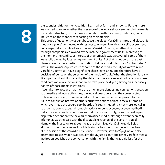the counties, cities or municipalities, i.e. in what form and amounts. Furthermore, we wanted to know whether the presence of the local self-government in the media ownership structure, i.e. the business relations with the county and cities, had any influence on the manner of reporting on their officials.

This group of questions was sent because the oldest Varaždin printed and electronic media are (were) connected with respect to ownership with local self-government units, especially the City of Varaždin and Varaždin County, whether directly, or through companies (co)owned by the local self-government units. Moreover, at the moment the conflict of interest of their officials was discovered, some of them were fully owned by local self-government units. But that is not only in the past. Namely, even after a partial privatization that was conducted in an "orchestrated" way, in the ownership structure of some of those media the City of Varaždin and Varaždin County still have a significant share, 20%-25 %, and therefore have a decisive influence on the selection of the media officials. What the situation is really like is perhaps best illustrated by the data that there are several politicians who are candidates at local elections that are to take place next year, sitting on supervisory boards of those media institutions!

If we take into account that there are other, more clandestine connections between such media and local authorities, the logical question is: can they be expected to take a more open, more engaged and finally, more honest approach to the issue of conflict of interest or other corruptive actions of local officials, some of which even head the supervisory boards of certain media? Is it not more logical in such a situation to expect disputable actions to be kept secret or even justified? Is it surprising in such circumstances that the first (and only) ones to speak up on disputable actions are the new, fully privatized media, although often technically inferior, as was the case with the disputable exchange of the land in Ribnjak. Namely, the first to write about it was the short-lived Varaždin weekly Špigl, although other media as well could obtain the basic information as it was heard at the session of the Varaždin City Council. However, save for Špigl, no one else attempted to see what it was actually about, just as only one other Varaždin media institution published the conversation with the family that was paid less for the land.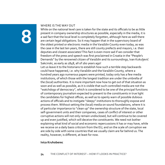## WHERE IS THE WAY OUT

While on the national level care is taken for the state and its officials to be as little present in company ownership structures as possible, especially in the media, it is a sad fact that the local level is completely forgotten, although here as well there are certain legal obligations. So it may happen that in the supervisory board of the oldest printed or electronic media in the Varaždin County even today, as was the case in the last ten years, there are still county prefects and mayors, i.e. their deputies and closest associates! This fact is even more sad if we consider that freedom of the press and speech was first proclaimed in Croatia in the "People's Demands" by the renowned citizen of Varaždin and its surroundings, Ivan Kukuljević Sakcinski, as early as 1848, all of 160 years ago!

Let us leave it to the historians to establish how such a terrible step backwards could have happened, i.e. why Varaždin and the Varaždin County, where a hundred years ago numerous papers were printed, today only has a few media institutions, of which those with the longest tradition are under the umbrella of the (local) authorities. It is more important now how to get out of that situation as soon and as well as possible, as it is visible that such controlled media are not the "watchdogs of democracy", which is considered to be one of the principal functions of contemporary journalism expected to present to the constituents in true light the candidates for highest offices, as well as to openly warn of possible dubious actions of officials and to instigate "sleepy" institutions to thoroughly expose and process them. Without setting the (local) media on sound foundations, where it is of particular importance to "clean up" the ownership structure of the state, local self-government units and their companies, cases of conflict of interest or other corruptive actions will not only remain undisclosed, but will continue to be covered up and even justified, which will deceive the constituents. We need not bother explaining what kind of social and economic repercussions it has or may have, while we receive on a daily basis criticism from the EU, and on the scale of corruption we are side by side with some countries that we usually claim are far behind us. The reality, however, is different, at least for now.

### **Ivica Kruhoberec**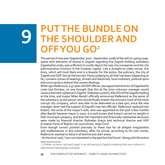## **PUT THE BUNDLE ON THE SHOULDER AND OFF YOU GO<sup>2</sup>**

The period of one year (September 2007 - September 2008) of the still on-going soapopera with elements of drama in Zagreb regarding the Zagreb Holding subsidiary Zagrebačke ceste, was sufficient to vividly depict the way city companies and the city administration function in the Croatian capital. Like a straight-to-video movie, this story, which will most likely end in a disaster for the police, the judiciary, the city of Zagreb and SDP (Social Democratic Party) judging by all that has been happening so far, contains scenes of beatings, threats and blackmail, local mobsters, political spins and unscrupulous behind-the-scenes dealings.

When Igor Rađenović, a 37-year-old SDP official, was appointed director of Zagrebačke ceste last October, no one thought that this at the time unknown manager would cause a dramatic upheaval in Zagreb. Slobodan Ljubičić, the CEO of the Zagreb Holding at the time, and mayor Milan Bandić officially announced Rađenović as the savior of the subsidiary, as the person who should finally shatter the ominous myth of the most corrupt city company, which was later to be debunked as a bad spin, since the new manager never had the support of Zagreb's top two officials. Rađenović replaced Ivan Kolarić, the uncle of the mayor's wife, who was appointed to the post a few months after Bandić became mayor in 2000. It is well known that Kolarić carried no weight in that municipal company, and that the important and financially substantial decisions were made by financial director Slobodan Gracin and technical director and HSP (Croatian Party of Rights) city councilman, Stipo Čorić.

Even though rumors pointed precisely to these two for all alleged irregularities and malfeasances in this subsidiary, after his arrival, according to his own words, Rađenović wanted to leave it all behind and start anew.

- At the time I said, 'I am not interested in the past but the future'. Along with the entire

<sup>&</sup>lt;sup>2</sup> "Pinklec na rame i put pod noge" is an old saying in Zagreb implying that one is about to take his/her belongings and leave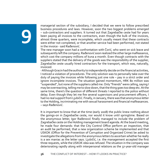managerial section of the subsidiary, I decided that we were to follow prescribed business procedures and laws. However, soon the two biggest problems emerged – sub-contractors and suppliers. It turned out that Zagrebačke ceste had for years been paying all invoices to the contractors, even though the bulk of the invoices, almost three quarters, were incomplete, which usually meant that these contracts were either not completed, or that another service had been performed, not stated in the invoice - said Rađenović.

The new manager soon had a confrontation with Čorić, who went on sick leave and subsequently left the company. Rađenović soon realized the other large malfeasance, which cost the company millions of kuna a month. Even though contracts with the suppliers stated that the delivery of the goods was the responsibility of the supplier, Zagrebačke ceste usually hired contractors for the transport, which was, naturally, invoiced.

- Although Gracin had the authority to independently decide on the financial activities, I noticed a violation of procedures. The only solution was to personally take over the duty of paying the invoices while following just one rule – pay in a strict order and ignore incomplete invoices. The situation gained momentum, HRK 80 million was "suspended", but none of the suppliers called me. Only "friends" were calling, saying I may be overreacting, telling me to slow down, that the thing goes too deep etc. At the same time, there's the question of different threats I reported to the police without delay. Even though they let me fire several supervisors and procurement officers, I had no real support from Ljubičić. Finally, in January, there was that anonymous letter to the Holding, incriminating me with sexual harassment and financial malfeasances. – says Rađenović.

It is important to know that at the time (early 2008) the public knew nothing about the goings-on in Zagrebačke ceste, nor would it know until springtime. Based on the anonymous letter, Igor Rađenović finally managed to include the problem of Zagrebačke ceste on the Holding management board agenda. At the board meeting, he made four demands: that the City Control Office perform an inspection, that an audit be performed, that a new organization scheme be implemented and that USKOK (Office for the Prevention of Corruption and Organized Crime) be asked to investigate the allegations from the anonymous letters to ascertain whether he really is a sex maniac as the letter says. Ljubičić, i.e. the management accepted the first three requests, while the USKOK idea was refused. The situation in the company was deteriorating rapidly along with interpersonal relations as the 37-year-old manager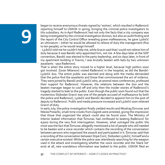began to receive anonymous threats signed by 'wolves', which resulted in Rađenović reporting himself to USKOK in spring, bringing the criminal police investigators to this subsidiary. As in April Rađenović had not only the facts that a city company was being investigated by the criminal investigation division, but also an audit finding and the report of the City Control Office revealing grave malfeasances, he gave Ljubičić an ultimatum – either he would be allowed to relieve of duty the management (five to ten people), or he would resign himself.

- Ljubičić told me he couldn't help me, while Gracin said that I could not relieve him of duty because it was Bandić who appointed him, not me. A few days later at the SDP convention, Bandić was elected to the party leadership, and six days later, in front of my apartment building in Travno, I was brutally beaten with bats by two unknown assailants - says Rađenović.

That is when the entire story moved to a higher level, because high politics soon got involved. Zoran Milanović visited Rađenović in the hospital, as did the Bandić-Ljubičić duo. The entire public was alarmed and along with the media demanded that the police find the assailants and those that commissioned the act of violence. They were joined by Bandić and Ljubičić who, at several news conferences, professed their support for Rađenović. However, the relations between the duo and the beaten manager began to cool off and only then the insider stories of Rađenović's tragedy started to leak to the public. Even though the public soon found out that the mysterious Slobodan Gracin was one of the people accused of malfeasance by both the police and Rađenović, Ljubičić and Bandić decided to appoint him to the post of deputy to Rađenović. Public and media pressure increased and Ljubičić soon relieved Gracin of duty.

In early July, the police investigation finally yielded results and Miodrag Šimunac and Nikola Presečki, small-time crooks from Zagreb were arrested, giving the impression that those that organized the attack could also be found soon. The Ministry of Interior leaked information that Šimunac had confessed to beating Rađenović for €3000 during the very first interrogation. However, what outraged the public the most was the fact that Šimunac allegedly mentioned a list of people who still needed to be beaten and a voice recorder which contains the recording of the conversation between persons who organized the assault and participated in it. Šimunac said that a recording of the conversation between Stipe Čorić, Slobodan Ljubičić, himself and a certain executive existed. While the police was relentlessly searching for the weapon used in the attack and investigating whether the voice recorder and the 'black list' exist at all, new scandalous information was leaked to the public. USKOK filed an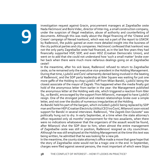investigation request against Gracin, procurement managers at Zagrebačke ceste Nada Hećimović and Boris Videc, director of Inter-Ing, a small construction company, under the suspicion of illegal mediation, abuse of authority and counterfeiting of documents. Although this was really about the illegal financing of the 'Cheese and Cream' campaign of Nenad Ivanković, which was not a part of the report to USKOK by Rađenović, the public gained an even more detailed insight into the business of the city political parties and city companies. Hećimović confessed that Ivanković was not the only party Zagrebačke ceste had financed, as in the last few years they had financially supported HSP, SDP, and even HDZ (Croatian Democratic Union), and went on to add that she could not understand how 'such a small matter' broke over her back when there were much more nefarious dealings going on at Zagrebačke ceste!!

In the meantime, after his sick leave, Rađenović refused to return to Zagrebačke ceste, so he remained only the executive vice-president in the Holding Management. During that time, Ljubičić and Čorić vehemently denied being involved in the beating of Rađenović, and the SDP party leadership at Ibler Square was waiting for just one more gaffe of the Holding to chop Ljubičić off from Milan Bandić, Ljubičić being the closest associate of the mayor of Zagreb. This happened when the media finally got hold of the anonymous letter from earlier in the year: the Management published the anonymous letter at the Holding web site, which triggered a reaction from Ibler Sq., so Bandić, encouraged by the support from Milanović, managed to have Ljubičić resign. One of the strongest political and interest relationships broke over a simple letter, and not over the doubts of numerous irregularities at the Holding.

As Bandić held his part of the bargain, which included Ljubičić being replaced by SDP man and former HEP (Croatian Electricity Utility) CEO Ivo Čović, Milanović soon voiced support for Bandić in several interviews. Rađenović, "the Zagreb Don Quixote" was politically hung out to dry. In early September, at a time when the state attorney's office requested only 16 months' imprisonment for the two assailants, when there were no indications whatsoever that the organizers of the assault would be found, after Milanović shut the SDP door to him, when almost the entire management of Zagrebačke ceste was still in position, Rađenović resigned as city councilman. Although he was still employed at the Holding Management at the time this text was being written, he admitted that he was looking for a new job.

In the meantime, the county state attorney's office made a move that gave hope that the story of Zagrebačke ceste would not be a tragic one in the end. In September, charges were filed against several persons, the most important of which were Stipo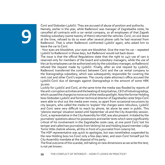Čorić and Slobodan Ljubičić. They are accused of abuse of position and authority. Namely, earlier in the year, while Rađenović was manager of Zagrebačke ceste, he cancelled all contracts with a car rental company, so all employees of that Zagreb Holding subsidiary (some twenty of them) returned the vehicles. Čorić, on sick leave at the time, refused to do so even after several phone calls he had received from Rađenović. That is when Rađenović confronted Ljubičić again, who asked him to leave the car to Čorić.

- Your eyes are bloodshot, your eyes are bloodshot. Give the man his car – repeated Ljubičić to Rađenović in those days, but Rađenović would not back down.

The issue is that the official Regulations state that the right to  $24/7$  use of cars is reserved only for members of the board and subsidiary managers, while the use of the car by employees can be authorized only by the subsidiary manager, so Rađenović refused the request made by Ljubičić. Finally, after an oral request by Ljubičić, Rađenović transferred the contract between Čorić and the car rental company to the Stanogradnja subsidiary, which was subsequently responsible for covering the rent cost and other Čorić's expenses. The county state attorney's office accused the Ljubičić-Čorić duo of damages against Stanogradnja in the amount of some HRK 30,000.

Luckily for Ljubičić and Čorić, at the same time the media was flooded by reports of the anti-corruption activities and the beating of Josip Galinac, CEO of Industrogradnja, which caused the charges to move out of the media spotlight. Now the former Holding boss Slobodan Ljubičić and former technical director of Zagrebačke ceste Stipo Čorić were able to shut out the media even more, so apart from occasional excursions by city lawyers, who called the media to 'explain' the charges were ridiculous, Ljubičić and Čorić were very difficult to reach by phone, let alone be seen in public. This 'silenzio stampa' situation lasted until September 26 and the City Assembly session. Čorić, a representative in the City Assembly for HSP, was also present. Irritated by the journalists' questions about his possessions and earlier texts which were significantly critical of his involvement in the Zagrebačke ceste case, at one point Čorić lost his temper and called two journalists from Večernji list and Holding board member Lidija Tomić little chetnik whores, all this in front of a journalist from Jutarnji list.

The HSP representative was quick to apologize, but was nonetheless suspended by the new Holding boss Ivo Čović only a few days later, and soon Čorić himself put his City Assembly mandate at the disposal of his party.

The final outcome of this scandal, still taking on new dimensions as we write this text, is not yet known.